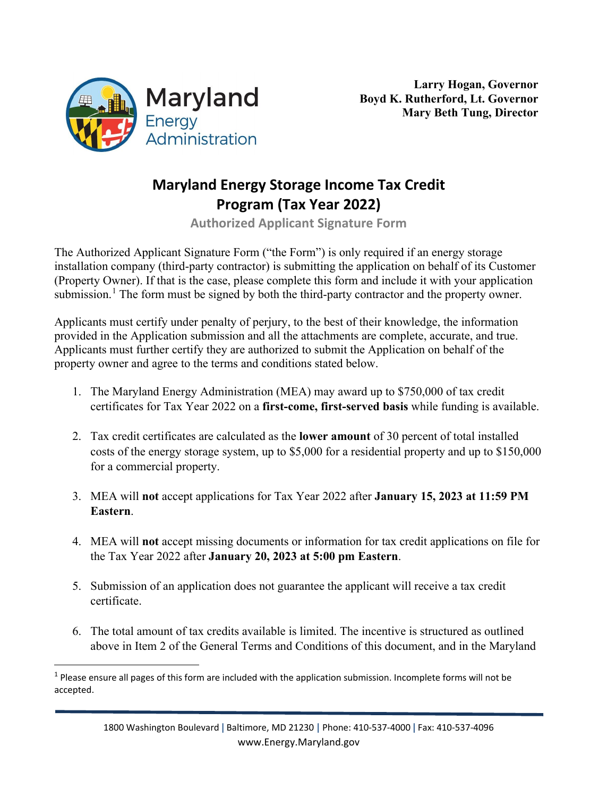

## **Maryland Energy Storage Income Tax Credit Program (Tax Year 2022)**

**Authorized Applicant Signature Form**

The Authorized Applicant Signature Form ("the Form") is only required if an energy storage installation company (third-party contractor) is submitting the application on behalf of its Customer (Property Owner). If that is the case, please complete this form and include it with your application submission.<sup>[1](#page-0-0)</sup> The form must be signed by both the third-party contractor and the property owner.

Applicants must certify under penalty of perjury, to the best of their knowledge, the information provided in the Application submission and all the attachments are complete, accurate, and true. Applicants must further certify they are authorized to submit the Application on behalf of the property owner and agree to the terms and conditions stated below.

- 1. The Maryland Energy Administration (MEA) may award up to \$750,000 of tax credit certificates for Tax Year 2022 on a **first-come, first-served basis** while funding is available.
- 2. Tax credit certificates are calculated as the **lower amount** of 30 percent of total installed costs of the energy storage system, up to \$5,000 for a residential property and up to \$150,000 for a commercial property.
- 3. MEA will **not** accept applications for Tax Year 2022 after **January 15, 2023 at 11:59 PM Eastern**.
- 4. MEA will **not** accept missing documents or information for tax credit applications on file for the Tax Year 2022 after **January 20, 2023 at 5:00 pm Eastern**.
- 5. Submission of an application does not guarantee the applicant will receive a tax credit certificate.
- 6. The total amount of tax credits available is limited. The incentive is structured as outlined above in Item 2 of the General Terms and Conditions of this document, and in the Maryland

<span id="page-0-0"></span> $1$  Please ensure all pages of this form are included with the application submission. Incomplete forms will not be accepted.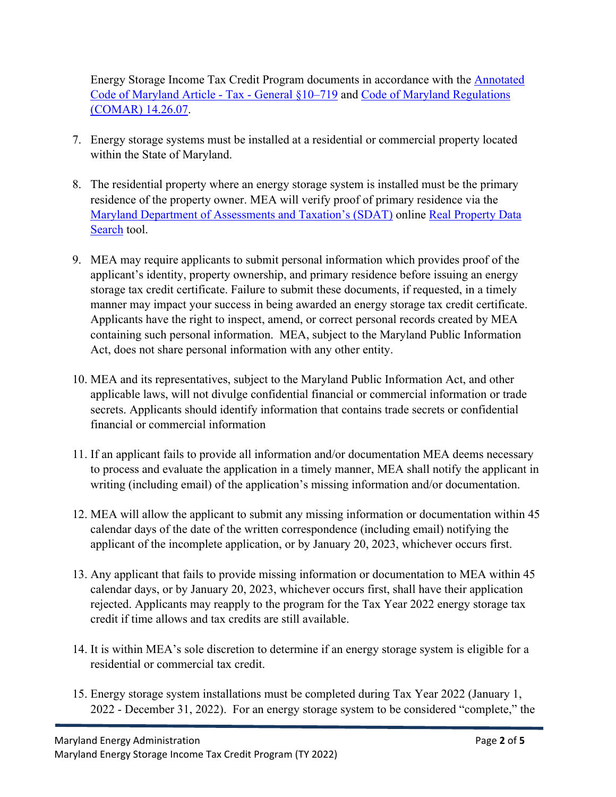Energy Storage Income Tax Credit Program documents in accordance with the [Annotated](http://mgaleg.maryland.gov/mgawebsite/Laws/StatuteText?article=gtg§ion=10-719&enactments=false)  [Code of Maryland Article - Tax - General §10–719](http://mgaleg.maryland.gov/mgawebsite/Laws/StatuteText?article=gtg§ion=10-719&enactments=false) and [Code of Maryland Regulations](http://www.dsd.state.md.us/COMAR/SubtitleSearch.aspx?search=14.26.07.*)  [\(COMAR\) 14.26.07.](http://www.dsd.state.md.us/COMAR/SubtitleSearch.aspx?search=14.26.07.*)

- 7. Energy storage systems must be installed at a residential or commercial property located within the State of Maryland.
- 8. The residential property where an energy storage system is installed must be the primary residence of the property owner. MEA will verify proof of primary residence via the [Maryland Department of Assessments and Taxation's \(SDAT\)](http://dat.maryland.gov/Pages/default.aspx) online [Real Property Data](https://sdat.dat.maryland.gov/RealProperty/Pages/default.aspx)  [Search](https://sdat.dat.maryland.gov/RealProperty/Pages/default.aspx) tool.
- 9. MEA may require applicants to submit personal information which provides proof of the applicant's identity, property ownership, and primary residence before issuing an energy storage tax credit certificate. Failure to submit these documents, if requested, in a timely manner may impact your success in being awarded an energy storage tax credit certificate. Applicants have the right to inspect, amend, or correct personal records created by MEA containing such personal information. MEA, subject to the Maryland Public Information Act, does not share personal information with any other entity.
- 10. MEA and its representatives, subject to the Maryland Public Information Act, and other applicable laws, will not divulge confidential financial or commercial information or trade secrets. Applicants should identify information that contains trade secrets or confidential financial or commercial information
- 11. If an applicant fails to provide all information and/or documentation MEA deems necessary to process and evaluate the application in a timely manner, MEA shall notify the applicant in writing (including email) of the application's missing information and/or documentation.
- 12. MEA will allow the applicant to submit any missing information or documentation within 45 calendar days of the date of the written correspondence (including email) notifying the applicant of the incomplete application, or by January 20, 2023, whichever occurs first.
- 13. Any applicant that fails to provide missing information or documentation to MEA within 45 calendar days, or by January 20, 2023, whichever occurs first, shall have their application rejected. Applicants may reapply to the program for the Tax Year 2022 energy storage tax credit if time allows and tax credits are still available.
- 14. It is within MEA's sole discretion to determine if an energy storage system is eligible for a residential or commercial tax credit.
- 15. Energy storage system installations must be completed during Tax Year 2022 (January 1, 2022 - December 31, 2022). For an energy storage system to be considered "complete," the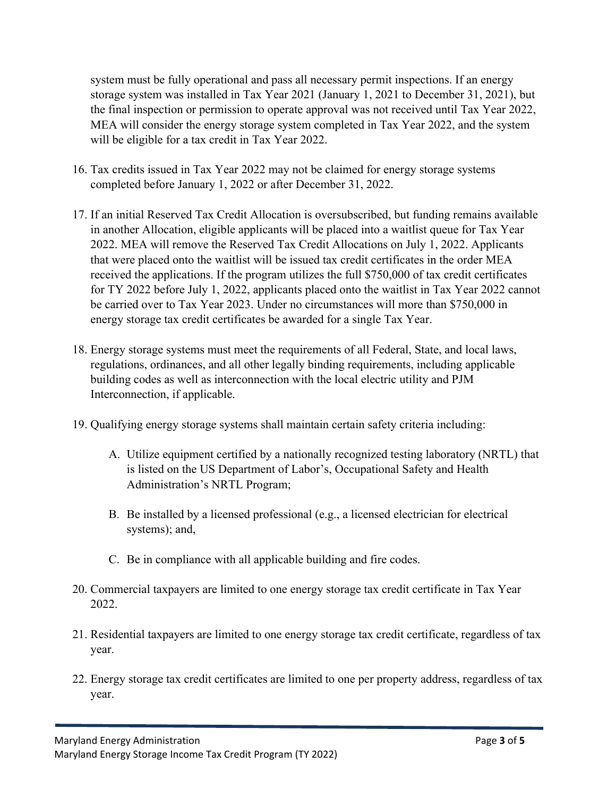system must be fully operational and pass all necessary permit inspections. If an energy storage system was installed in Tax Year 2021 (January 1, 2021 to December 31, 2021), but the final inspection or permission to operate approval was not received until Tax Year 2022, MEA will consider the energy storage system completed in Tax Year 2022, and the system will be eligible for a tax credit in Tax Year 2022.

- 16. Tax credits issued in Tax Year 2022 may not be claimed for energy storage systems completed before January 1, 2022 or after December 31, 2022.
- 17. If an initial Reserved Tax Credit Allocation is oversubscribed, but funding remains available in another Allocation, eligible applicants will be placed into a waitlist queue for Tax Year 2022. MEA will remove the Reserved Tax Credit Allocations on July 1, 2022. Applicants that were placed onto the waitlist will be issued tax credit certificates in the order MEA received the applications. If the program utilizes the full \$750,000 of tax credit certificates for TY 2022 before July 1, 2022, applicants placed onto the waitlist in Tax Year 2022 cannot be carried over to Tax Year 2023. Under no circumstances will more than \$750,000 in energy storage tax credit certificates be awarded for a single Tax Year.
- 18. Energy storage systems must meet the requirements of all Federal, State, and local laws, regulations, ordinances, and all other legally binding requirements, including applicable building codes as well as interconnection with the local electric utility and PJM Interconnection, if applicable.
- 19. Qualifying energy storage systems shall maintain certain safety criteria including:
	- A. Utilize equipment certified by a nationally recognized testing laboratory (NRTL) that is listed on the US Department of Labor's, Occupational Safety and Health Administration's NRTL Program;
	- B. Be installed by a licensed professional (e.g., a licensed electrician for electrical systems); and,
	- C. Be in compliance with all applicable building and fire codes.
- 20. Commercial taxpayers are limited to one energy storage tax credit certificate in Tax Year 2022.
- 21. Residential taxpayers are limited to one energy storage tax credit certificate, regardless of tax year.
- 22. Energy storage tax credit certificates are limited to one per property address, regardless of tax year.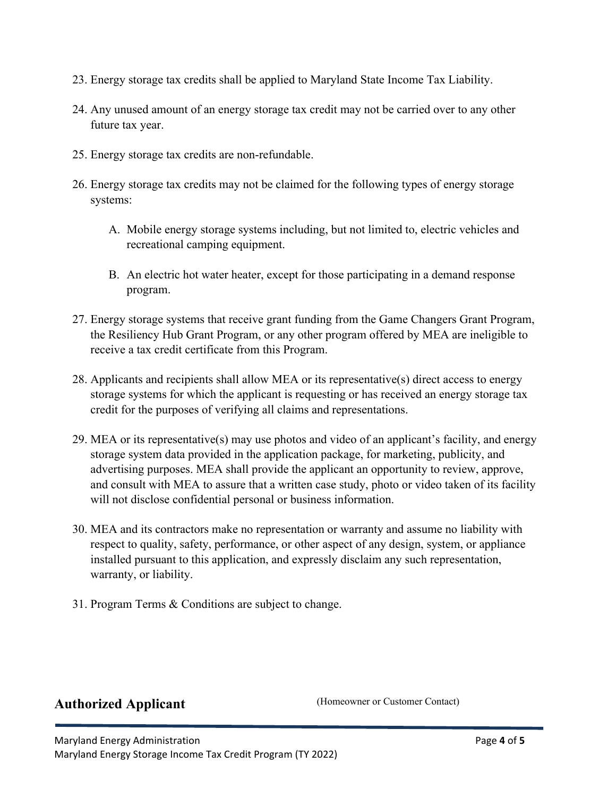- 23. Energy storage tax credits shall be applied to Maryland State Income Tax Liability.
- 24. Any unused amount of an energy storage tax credit may not be carried over to any other future tax year.
- 25. Energy storage tax credits are non-refundable.
- 26. Energy storage tax credits may not be claimed for the following types of energy storage systems:
	- A. Mobile energy storage systems including, but not limited to, electric vehicles and recreational camping equipment.
	- B. An electric hot water heater, except for those participating in a demand response program.
- 27. Energy storage systems that receive grant funding from the Game Changers Grant Program, the Resiliency Hub Grant Program, or any other program offered by MEA are ineligible to receive a tax credit certificate from this Program.
- 28. Applicants and recipients shall allow MEA or its representative(s) direct access to energy storage systems for which the applicant is requesting or has received an energy storage tax credit for the purposes of verifying all claims and representations.
- 29. MEA or its representative(s) may use photos and video of an applicant's facility, and energy storage system data provided in the application package, for marketing, publicity, and advertising purposes. MEA shall provide the applicant an opportunity to review, approve, and consult with MEA to assure that a written case study, photo or video taken of its facility will not disclose confidential personal or business information.
- 30. MEA and its contractors make no representation or warranty and assume no liability with respect to quality, safety, performance, or other aspect of any design, system, or appliance installed pursuant to this application, and expressly disclaim any such representation, warranty, or liability.
- 31. Program Terms & Conditions are subject to change.

## **Authorized Applicant** (Homeowner or Customer Contact)